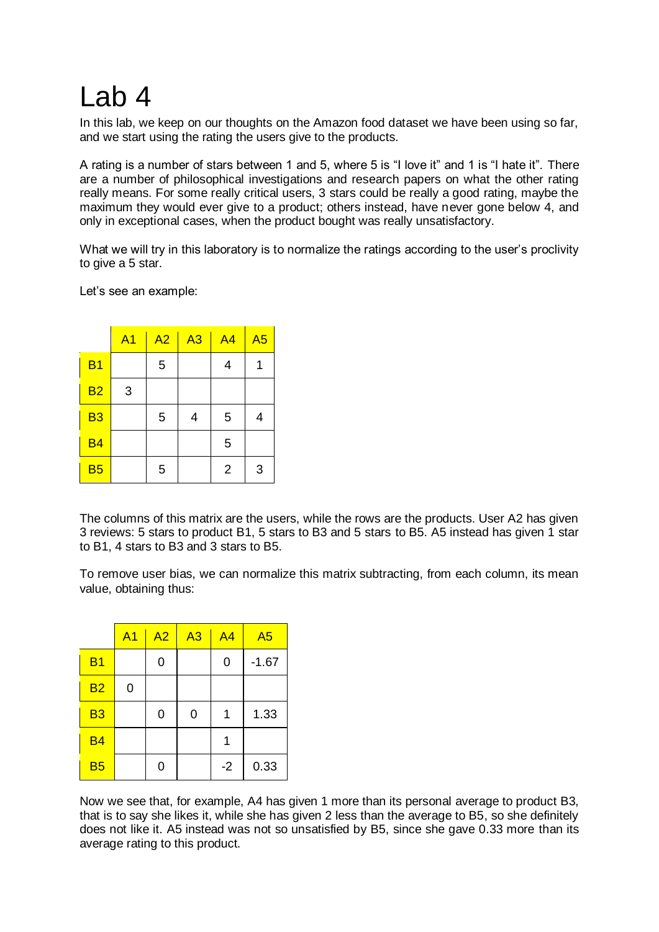## Lab 4

In this lab, we keep on our thoughts on the Amazon food dataset we have been using so far, and we start using the rating the users give to the products.

A rating is a number of stars between 1 and 5, where 5 is "I love it" and 1 is "I hate it". There are a number of philosophical investigations and research papers on what the other rating really means. For some really critical users, 3 stars could be really a good rating, maybe the maximum they would ever give to a product; others instead, have never gone below 4, and only in exceptional cases, when the product bought was really unsatisfactory.

What we will try in this laboratory is to normalize the ratings according to the user's proclivity to give a 5 star.

Let's see an example:

|                | A <sub>1</sub> | A2 | A3 | A <sub>4</sub> | A <sub>5</sub> |
|----------------|----------------|----|----|----------------|----------------|
| B <sub>1</sub> |                | 5  |    | 4              | 1              |
| <b>B2</b>      | 3              |    |    |                |                |
| <b>B3</b>      |                | 5  | 4  | 5              | 4              |
| <b>B4</b>      |                |    |    | 5              |                |
| <b>B5</b>      |                | 5  |    | $\overline{2}$ | 3              |

The columns of this matrix are the users, while the rows are the products. User A2 has given 3 reviews: 5 stars to product B1, 5 stars to B3 and 5 stars to B5. A5 instead has given 1 star to B1, 4 stars to B3 and 3 stars to B5.

To remove user bias, we can normalize this matrix subtracting, from each column, its mean value, obtaining thus:

|                | A <sub>1</sub> | A2 | $\overline{A3}$ | A <sub>4</sub> | A <sub>5</sub> |
|----------------|----------------|----|-----------------|----------------|----------------|
| B <sub>1</sub> |                | 0  |                 | 0              | $-1.67$        |
| <b>B2</b>      | 0              |    |                 |                |                |
| B <sub>3</sub> |                | 0  | 0               |                | 1.33           |
| <b>B4</b>      |                |    |                 |                |                |
| <b>B5</b>      |                | 0  |                 | $-2$           | 0.33           |

Now we see that, for example, A4 has given 1 more than its personal average to product B3, that is to say she likes it, while she has given 2 less than the average to B5, so she definitely does not like it. A5 instead was not so unsatisfied by B5, since she gave 0.33 more than its average rating to this product.